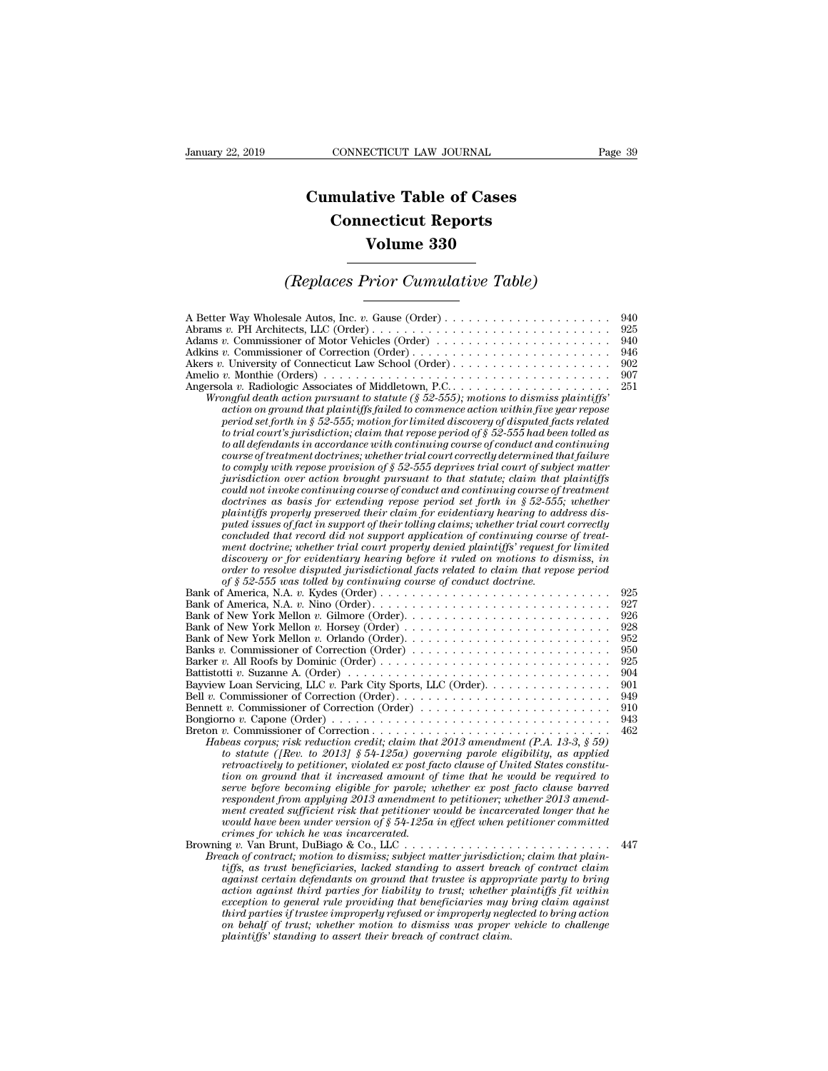## **CONNECTICUT LAW JOURNAL**<br> **Cumulative Table of Cases<br>
Connecticut Reports CONNECTICUT LAW JOURNAL**<br> **CONNECTICUT LAW JOURNAL**<br> **CONNECTICUT Reports<br>
Volume 330 ECTICUT LAW JOURNAL**<br> **Volume 330**<br> **Volume 330**<br> **Volume 330 Cumulative Table of Cases<br>
Connecticut Reports<br>
Volume 330<br>
(Replaces Prior Cumulative Table)**<br>
Sale Autos Inc. *R*. Gause (Order)

| <b>Volume 330</b>                                                                                                                                                                                                                                                                                                                                                                                                                                                                                                                                                                                                                                                                                                                                                                                                                                                                                                                                                                                                                                                                                                                                                                                                                                                                                                                                                                                                                                                                                                                                                                                                                                                                                                                   |                                                                                         |
|-------------------------------------------------------------------------------------------------------------------------------------------------------------------------------------------------------------------------------------------------------------------------------------------------------------------------------------------------------------------------------------------------------------------------------------------------------------------------------------------------------------------------------------------------------------------------------------------------------------------------------------------------------------------------------------------------------------------------------------------------------------------------------------------------------------------------------------------------------------------------------------------------------------------------------------------------------------------------------------------------------------------------------------------------------------------------------------------------------------------------------------------------------------------------------------------------------------------------------------------------------------------------------------------------------------------------------------------------------------------------------------------------------------------------------------------------------------------------------------------------------------------------------------------------------------------------------------------------------------------------------------------------------------------------------------------------------------------------------------|-----------------------------------------------------------------------------------------|
| (Replaces Prior Cumulative Table)                                                                                                                                                                                                                                                                                                                                                                                                                                                                                                                                                                                                                                                                                                                                                                                                                                                                                                                                                                                                                                                                                                                                                                                                                                                                                                                                                                                                                                                                                                                                                                                                                                                                                                   |                                                                                         |
| A Better Way Wholesale Autos, Inc. v. Gause (Order)<br>Adams v. Commissioner of Motor Vehicles (Order)<br>Adkins v. Commissioner of Correction (Order)<br>Akers v. University of Connecticut Law School (Order)<br>Wrongful death action pursuant to statute ( $\S 52-555$ ); motions to dismiss plaintiffs'<br>action on ground that plaintiffs failed to commence action within five year repose<br>period set forth in § 52-555; motion for limited discovery of disputed facts related<br>to trial court's jurisdiction; claim that repose period of $\S 52$ -555 had been tolled as<br>to all defendants in accordance with continuing course of conduct and continuing<br>course of treatment doctrines; whether trial court correctly determined that failure<br>to comply with repose provision of $\S 52$ -555 deprives trial court of subject matter<br>jurisdiction over action brought pursuant to that statute; claim that plaintiffs<br>could not invoke continuing course of conduct and continuing course of treatment<br>doctrines as basis for extending repose period set forth in $\S 52-555$ ; whether<br>plaintiffs properly preserved their claim for evidentiary hearing to address dis-<br>puted issues of fact in support of their tolling claims; whether trial court correctly<br>concluded that record did not support application of continuing course of treat-<br>ment doctrine; whether trial court properly denied plaintiffs' request for limited<br>discovery or for evidentiary hearing before it ruled on motions to dismiss, in<br>order to resolve disputed jurisdictional facts related to claim that repose period<br>of $\S$ 52-555 was tolled by continuing course of conduct doctrine. | 940<br>925<br>940<br>946<br>902<br>907<br>251                                           |
| Bank of New York Mellon v. Gilmore (Order). $\dots \dots \dots \dots \dots \dots \dots \dots \dots \dots$<br>Banks v. Commissioner of Correction (Order)<br>Bayview Loan Servicing, LLC v. Park City Sports, LLC (Order). $\dots \dots \dots \dots \dots$<br>Bennett v. Commissioner of Correction (Order)<br>Habeas corpus; risk reduction credit; claim that 2013 amendment (P.A. 13-3, $\S 59$ )<br>to statute ([Rev. to 2013] $\S 54-125a$ ) governing parole eligibility, as applied                                                                                                                                                                                                                                                                                                                                                                                                                                                                                                                                                                                                                                                                                                                                                                                                                                                                                                                                                                                                                                                                                                                                                                                                                                           | 925<br>927<br>926<br>928<br>952<br>950<br>925<br>904<br>901<br>949<br>910<br>943<br>462 |
| retroactively to petitioner, violated ex post facto clause of United States constitu-<br>tion on ground that it increased amount of time that he would be required to<br>serve before becoming eligible for parole; whether ex post facto clause barred<br>respondent from applying 2013 amendment to petitioner; whether 2013 amend-<br>ment created sufficient risk that petitioner would be incarcerated longer that he<br>would have been under version of $\S 54$ -125a in effect when petitioner committed<br>crimes for which he was incarcerated.<br>Browning $v$ . Van Brunt, DuBiago & Co., LLC<br>Breach of contract; motion to dismiss; subject matter jurisdiction; claim that plain-<br>tiffs, as trust beneficiaries, lacked standing to assert breach of contract claim<br>against certain defendants on ground that trustee is appropriate party to bring<br>action against third parties for liability to trust; whether plaintiffs fit within<br>exception to general rule providing that beneficiaries may bring claim against<br>third parties if trustee improperly refused or improperly neglected to bring action<br>on behalf of trust; whether motion to dismiss was proper vehicle to challenge<br>plaintiffs' standing to assert their breach of contract claim.                                                                                                                                                                                                                                                                                                                                                                                                                                        | 447                                                                                     |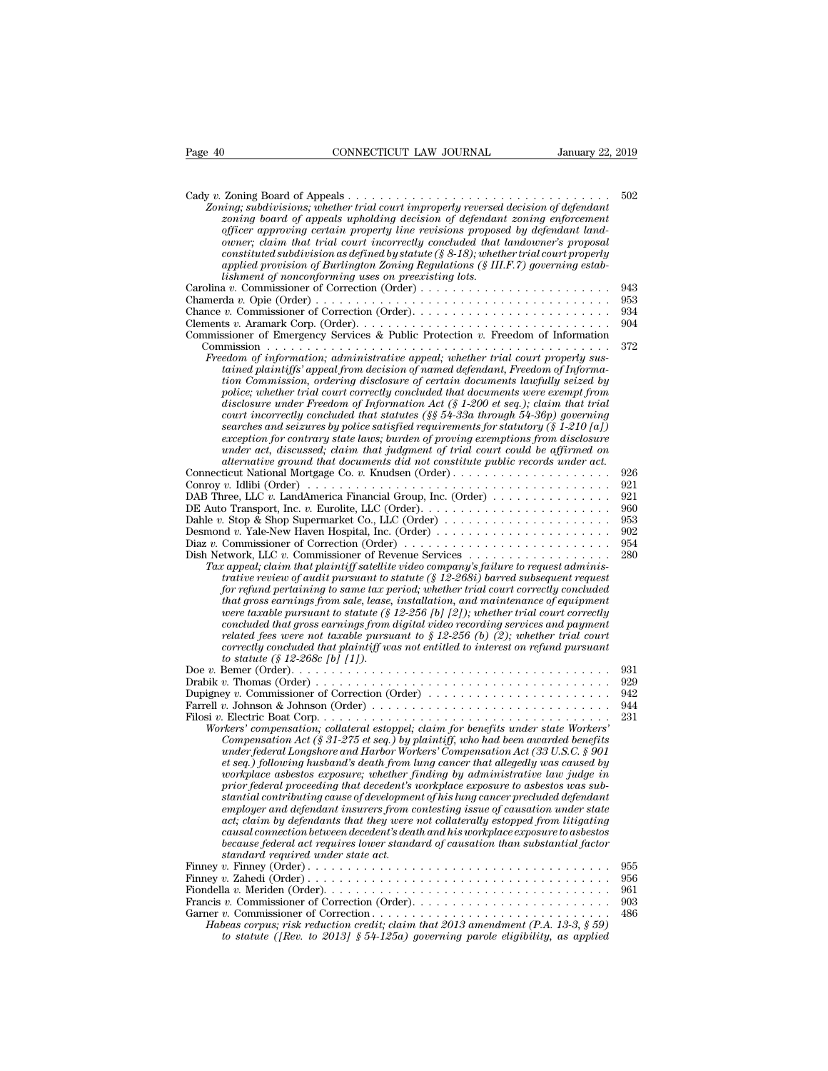| Page 40<br>CONNECTICUT LAW JOURNAL                                                                                                                                                                                                                                                                                                                                                                                                                                                                                                                                                                                                                                                                                                                                                                                                                                                                                                                                                        | January 22, 2019 |
|-------------------------------------------------------------------------------------------------------------------------------------------------------------------------------------------------------------------------------------------------------------------------------------------------------------------------------------------------------------------------------------------------------------------------------------------------------------------------------------------------------------------------------------------------------------------------------------------------------------------------------------------------------------------------------------------------------------------------------------------------------------------------------------------------------------------------------------------------------------------------------------------------------------------------------------------------------------------------------------------|------------------|
|                                                                                                                                                                                                                                                                                                                                                                                                                                                                                                                                                                                                                                                                                                                                                                                                                                                                                                                                                                                           |                  |
| Zoning; subdivisions; whether trial court improperly reversed decision of defendant<br>zoning board of appeals upholding decision of defendant zoning enforcement<br>officer approving certain property line revisions proposed by defendant land-<br>owner; claim that trial court incorrectly concluded that landowner's proposal<br>constituted subdivision as defined by statute ( $\S$ 8-18); whether trial court properly<br>applied provision of Burlington Zoning Regulations $(\S \, III.F. 7)$ governing estab-<br>lishment of nonconforming uses on preexisting lots.                                                                                                                                                                                                                                                                                                                                                                                                          | 502              |
|                                                                                                                                                                                                                                                                                                                                                                                                                                                                                                                                                                                                                                                                                                                                                                                                                                                                                                                                                                                           | 943              |
|                                                                                                                                                                                                                                                                                                                                                                                                                                                                                                                                                                                                                                                                                                                                                                                                                                                                                                                                                                                           | 953              |
|                                                                                                                                                                                                                                                                                                                                                                                                                                                                                                                                                                                                                                                                                                                                                                                                                                                                                                                                                                                           | 934              |
|                                                                                                                                                                                                                                                                                                                                                                                                                                                                                                                                                                                                                                                                                                                                                                                                                                                                                                                                                                                           | 904              |
| Commissioner of Emergency Services & Public Protection v. Freedom of Information                                                                                                                                                                                                                                                                                                                                                                                                                                                                                                                                                                                                                                                                                                                                                                                                                                                                                                          |                  |
| Freedom of information; administrative appeal; whether trial court properly sus-<br>tained plaintiffs' appeal from decision of named defendant, Freedom of Informa-<br>tion Commission, ordering disclosure of certain documents lawfully seized by<br>police; whether trial court correctly concluded that documents were exempt from<br>disclosure under Freedom of Information Act (§ 1-200 et seq.); claim that trial<br>court incorrectly concluded that statutes $(\frac{8}{5} 54 - 33a)$ through 54-36p) governing<br>searches and seizures by police satisfied requirements for statutory (§ 1-210 [a])<br>exception for contrary state laws; burden of proving exemptions from disclosure<br>under act, discussed; claim that judgment of trial court could be affirmed on<br>alternative ground that documents did not constitute public records under act.                                                                                                                     | 372              |
| Connecticut National Mortgage Co. v. Knudsen (Order)                                                                                                                                                                                                                                                                                                                                                                                                                                                                                                                                                                                                                                                                                                                                                                                                                                                                                                                                      | 926              |
| Conroy v. Idlibi (Order) $\dots \dots \dots \dots \dots \dots \dots \dots \dots \dots \dots \dots \dots \dots \dots$                                                                                                                                                                                                                                                                                                                                                                                                                                                                                                                                                                                                                                                                                                                                                                                                                                                                      | 921              |
| DAB Three, LLC v. LandAmerica Financial Group, Inc. (Order)                                                                                                                                                                                                                                                                                                                                                                                                                                                                                                                                                                                                                                                                                                                                                                                                                                                                                                                               | 921<br>960       |
| DE Auto Transport, Inc. v. Eurolite, LLC (Order). $\dots \dots \dots \dots \dots \dots \dots \dots \dots$<br>Dahle v. Stop & Shop Supermarket Co., LLC (Order) $\dots \dots \dots \dots \dots \dots \dots$                                                                                                                                                                                                                                                                                                                                                                                                                                                                                                                                                                                                                                                                                                                                                                                | 953              |
|                                                                                                                                                                                                                                                                                                                                                                                                                                                                                                                                                                                                                                                                                                                                                                                                                                                                                                                                                                                           | 902              |
| Diaz v. Commissioner of Correction (Order) $\dots \dots \dots \dots \dots \dots \dots \dots \dots$                                                                                                                                                                                                                                                                                                                                                                                                                                                                                                                                                                                                                                                                                                                                                                                                                                                                                        | 954              |
| Dish Network, LLC v. Commissioner of Revenue Services $\dots \dots \dots \dots \dots \dots$<br>Tax appeal; claim that plaintiff satellite video company's failure to request adminis-<br>trative review of audit pursuant to statute $(\S 12{\text -}268i)$ barred subsequent request<br>for refund pertaining to same tax period; whether trial court correctly concluded<br>that gross earnings from sale, lease, installation, and maintenance of equipment<br>were taxable pursuant to statute (§ 12-256 [b] [2]); whether trial court correctly<br>concluded that gross earnings from digital video recording services and payment<br>related fees were not taxable pursuant to $\S 12-256$ (b) (2); whether trial court<br>correctly concluded that plaintiff was not entitled to interest on refund pursuant<br>to statute $(\S 12-268c$ [b] [1]).                                                                                                                                 | 280              |
|                                                                                                                                                                                                                                                                                                                                                                                                                                                                                                                                                                                                                                                                                                                                                                                                                                                                                                                                                                                           | 931              |
|                                                                                                                                                                                                                                                                                                                                                                                                                                                                                                                                                                                                                                                                                                                                                                                                                                                                                                                                                                                           | 929<br>942       |
| Farrell v. Johnson & Johnson (Order) $\ldots \ldots \ldots \ldots \ldots \ldots \ldots \ldots \ldots \ldots$                                                                                                                                                                                                                                                                                                                                                                                                                                                                                                                                                                                                                                                                                                                                                                                                                                                                              | 944              |
| Workers' compensation; collateral estoppel; claim for benefits under state Workers'<br>Compensation Act (§ 31-275 et seq.) by plaintiff, who had been awarded benefits<br>under federal Longshore and Harbor Workers' Compensation Act (33 U.S.C. § 901<br>et seq.) following husband's death from lung cancer that allegedly was caused by<br>workplace asbestos exposure; whether finding by administrative law judge in<br>prior federal proceeding that decedent's workplace exposure to asbestos was sub-<br>stantial contributing cause of development of his lung cancer precluded defendant<br>employer and defendant insurers from contesting issue of causation under state<br>act; claim by defendants that they were not collaterally estopped from litigating<br>causal connection between decedent's death and his workplace exposure to asbestos<br>because federal act requires lower standard of causation than substantial factor<br>standard required under state act. | 231              |
|                                                                                                                                                                                                                                                                                                                                                                                                                                                                                                                                                                                                                                                                                                                                                                                                                                                                                                                                                                                           | 955              |
|                                                                                                                                                                                                                                                                                                                                                                                                                                                                                                                                                                                                                                                                                                                                                                                                                                                                                                                                                                                           | 956<br>961       |
|                                                                                                                                                                                                                                                                                                                                                                                                                                                                                                                                                                                                                                                                                                                                                                                                                                                                                                                                                                                           | 903              |
| Habeas corpus; risk reduction credit; claim that 2013 amendment (P.A. 13-3, § 59)<br>to statute ([Rev. to 2013] § 54-125a) governing parole eligibility, as applied                                                                                                                                                                                                                                                                                                                                                                                                                                                                                                                                                                                                                                                                                                                                                                                                                       | 486              |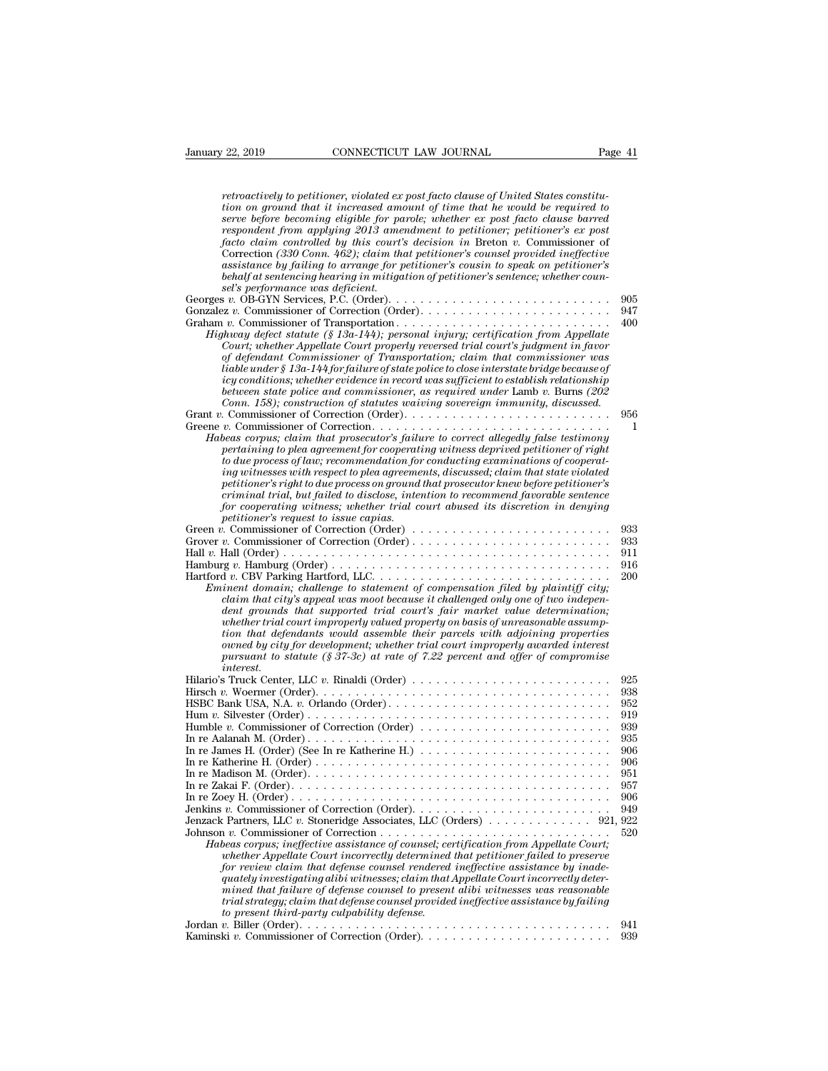| January 22, 2019<br>CONNECTICUT LAW JOURNAL                                                                                                                               | Page 41    |
|---------------------------------------------------------------------------------------------------------------------------------------------------------------------------|------------|
| retroactively to petitioner, violated ex post facto clause of United States constitu-                                                                                     |            |
| tion on ground that it increased amount of time that he would be required to                                                                                              |            |
| serve before becoming eligible for parole; whether ex post facto clause barred                                                                                            |            |
| respondent from applying 2013 amendment to petitioner; petitioner's ex post                                                                                               |            |
| facto claim controlled by this court's decision in Breton $v$ . Commissioner of                                                                                           |            |
| Correction (330 Conn. 462); claim that petitioner's counsel provided ineffective<br>assistance by failing to arrange for petitioner's cousin to speak on petitioner's     |            |
| behalf at sentencing hearing in mitigation of petitioner's sentence; whether coun-                                                                                        |            |
| sel's performance was deficient.                                                                                                                                          |            |
|                                                                                                                                                                           | 905        |
|                                                                                                                                                                           | 947        |
|                                                                                                                                                                           | 400        |
| Highway defect statute $(\S 13a-144)$ ; personal injury; certification from Appellate<br>Court; whether Appellate Court properly reversed trial court's judgment in favor |            |
| of defendant Commissioner of Transportation; claim that commissioner was                                                                                                  |            |
| liable under § 13a-144 for failure of state police to close interstate bridge because of                                                                                  |            |
| icy conditions; whether evidence in record was sufficient to establish relationship                                                                                       |            |
| between state police and commissioner, as required under Lamb $v$ . Burns (202)                                                                                           |            |
| Conn. 158); construction of statutes waiving sovereign immunity, discussed.                                                                                               |            |
| Greene v. Commissioner of Correction                                                                                                                                      | 956<br>1   |
| Habeas corpus; claim that prosecutor's failure to correct allegedly false testimony                                                                                       |            |
| pertaining to plea agreement for cooperating witness deprived petitioner of right                                                                                         |            |
| to due process of law; recommendation for conducting examinations of cooperat-                                                                                            |            |
| ing witnesses with respect to plea agreements, discussed; claim that state violated                                                                                       |            |
| petitioner's right to due process on ground that prosecutor knew before petitioner's                                                                                      |            |
| criminal trial, but failed to disclose, intention to recommend favorable sentence<br>for cooperating witness; whether trial court abused its discretion in denying        |            |
| petitioner's request to issue capias.                                                                                                                                     |            |
|                                                                                                                                                                           | 933        |
|                                                                                                                                                                           | 933        |
|                                                                                                                                                                           | 911        |
|                                                                                                                                                                           | 916        |
|                                                                                                                                                                           | 200        |
| Eminent domain; challenge to statement of compensation filed by plaintiff city;<br>claim that city's appeal was moot because it challenged only one of two indepen-       |            |
| dent grounds that supported trial court's fair market value determination;                                                                                                |            |
| whether trial court improperly valued property on basis of unreasonable assump-                                                                                           |            |
| tion that defendants would assemble their parcels with adjoining properties                                                                                               |            |
| owned by city for development; whether trial court improperly awarded interest                                                                                            |            |
| pursuant to statute $(\frac{8}{37-3c})$ at rate of 7.22 percent and offer of compromise                                                                                   |            |
| <i>interest.</i>                                                                                                                                                          | 925        |
|                                                                                                                                                                           | 938        |
|                                                                                                                                                                           | 952        |
|                                                                                                                                                                           | 919        |
| Humble v. Commissioner of Correction (Order)                                                                                                                              | 939        |
|                                                                                                                                                                           | 935        |
| In re James H. (Order) (See In re Katherine H.) $\ldots \ldots \ldots \ldots \ldots \ldots \ldots \ldots$                                                                 | 906        |
|                                                                                                                                                                           | 906        |
| In re Madison M. (Order). $\dots \dots \dots \dots \dots \dots \dots \dots \dots \dots \dots \dots \dots \dots \dots \dots$                                               | 951<br>957 |
|                                                                                                                                                                           | 906        |
|                                                                                                                                                                           | 949        |
| Jenzack Partners, LLC v. Stoneridge Associates, LLC (Orders)  921, 922                                                                                                    |            |
|                                                                                                                                                                           | 520        |
| Habeas corpus; ineffective assistance of counsel; certification from Appellate Court;                                                                                     |            |
| whether Appellate Court incorrectly determined that petitioner failed to preserve<br>for review claim that defense counsel rendered ineffective assistance by inade-      |            |
| quately investigating alibi witnesses; claim that Appellate Court incorrectly deter-                                                                                      |            |
| mined that failure of defense counsel to present alibi witnesses was reasonable                                                                                           |            |
| trial strategy; claim that defense counsel provided ineffective assistance by failing                                                                                     |            |
| to present third-party culpability defense.                                                                                                                               |            |
|                                                                                                                                                                           | 941        |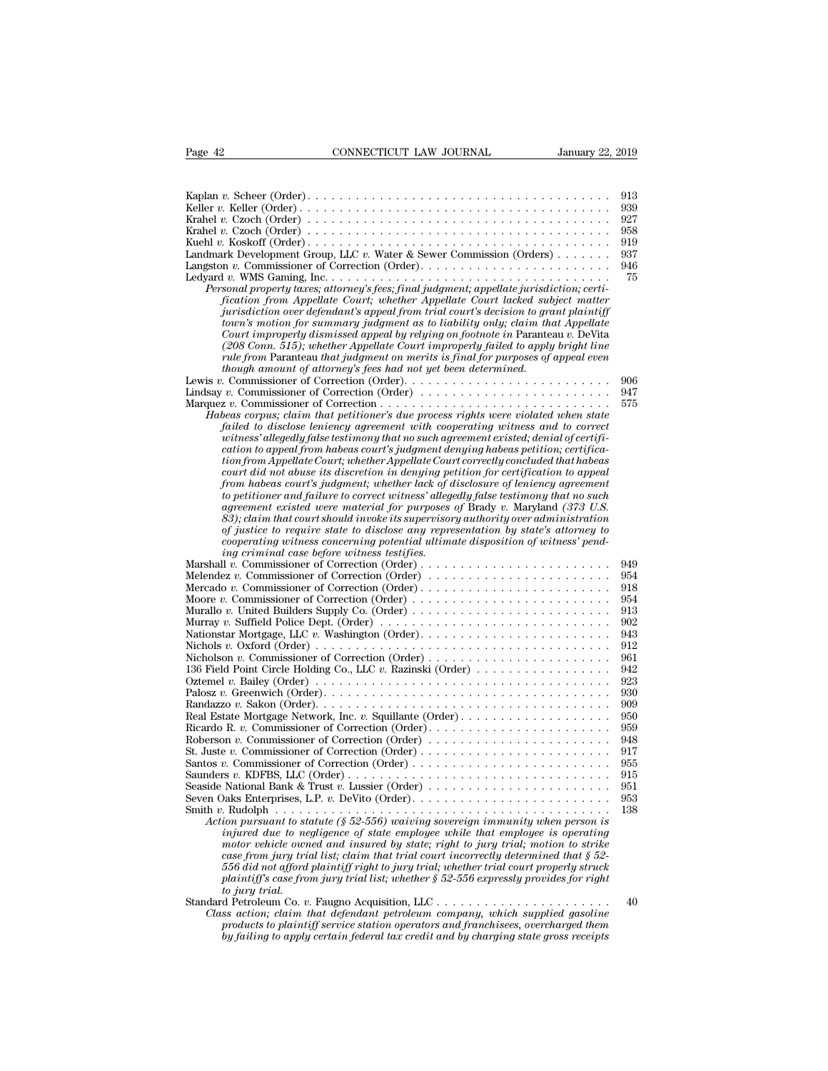| Page 42                                     | CONNECTICUT LAW JOURNAL                                                                                                                                                                                                          | January 22, 2019 |
|---------------------------------------------|----------------------------------------------------------------------------------------------------------------------------------------------------------------------------------------------------------------------------------|------------------|
|                                             |                                                                                                                                                                                                                                  |                  |
|                                             |                                                                                                                                                                                                                                  | 913              |
|                                             |                                                                                                                                                                                                                                  | 939              |
|                                             |                                                                                                                                                                                                                                  | 927              |
|                                             |                                                                                                                                                                                                                                  | 958<br>919       |
|                                             | Landmark Development Group, LLC v. Water & Sewer Commission (Orders)                                                                                                                                                             | 937              |
|                                             |                                                                                                                                                                                                                                  | 946              |
|                                             |                                                                                                                                                                                                                                  | 75               |
|                                             | Personal property taxes; attorney's fees; final judgment; appellate jurisdiction; certi-                                                                                                                                         |                  |
|                                             | fication from Appellate Court; whether Appellate Court lacked subject matter<br>jurisdiction over defendant's appeal from trial court's decision to grant plaintiff                                                              |                  |
|                                             | town's motion for summary judgment as to liability only; claim that Appellate                                                                                                                                                    |                  |
|                                             | Court improperly dismissed appeal by relying on footnote in Paranteau v. DeVita                                                                                                                                                  |                  |
|                                             | (208 Conn. 515); whether Appellate Court improperly failed to apply bright line                                                                                                                                                  |                  |
|                                             | rule from Paranteau that judgment on merits is final for purposes of appeal even<br>though amount of attorney's fees had not yet been determined.                                                                                |                  |
|                                             |                                                                                                                                                                                                                                  | 906              |
|                                             | Lindsay v. Commissioner of Correction (Order) $\dots \dots \dots \dots \dots \dots \dots \dots \dots$                                                                                                                            | 947              |
|                                             |                                                                                                                                                                                                                                  | 575              |
|                                             | Habeas corpus; claim that petitioner's due process rights were violated when state                                                                                                                                               |                  |
|                                             | failed to disclose leniency agreement with cooperating witness and to correct<br>witness' allegedly false testimony that no such agreement existed; denial of certifi-                                                           |                  |
|                                             | cation to appeal from habeas court's judgment denying habeas petition; certifica-                                                                                                                                                |                  |
|                                             | tion from Appellate Court; whether Appellate Court correctly concluded that habeas                                                                                                                                               |                  |
|                                             | court did not abuse its discretion in denying petition for certification to appeal                                                                                                                                               |                  |
|                                             | from habeas court's judgment; whether lack of disclosure of leniency agreement<br>to petitioner and failure to correct witness' allegedly false testimony that no such                                                           |                  |
|                                             | agreement existed were material for purposes of Brady v. Maryland (373 U.S.                                                                                                                                                      |                  |
|                                             | 83); claim that court should invoke its supervisory authority over administration                                                                                                                                                |                  |
|                                             | of justice to require state to disclose any representation by state's attorney to                                                                                                                                                |                  |
| ing criminal case before witness testifies. | cooperating witness concerning potential ultimate disposition of witness' pend-                                                                                                                                                  |                  |
|                                             |                                                                                                                                                                                                                                  | 949              |
|                                             | Melendez v. Commissioner of Correction (Order)                                                                                                                                                                                   | 954              |
|                                             |                                                                                                                                                                                                                                  | 918              |
|                                             |                                                                                                                                                                                                                                  | 954              |
|                                             | Murallo v. United Builders Supply Co. (Order) $\dots \dots \dots \dots \dots \dots \dots \dots \dots \dots$<br>Murray v. Suffield Police Dept. (Order) $\dots \dots \dots \dots \dots \dots \dots \dots \dots \dots \dots \dots$ | 913<br>902       |
|                                             | Nationstar Mortgage, LLC v. Washington (Order)                                                                                                                                                                                   | 943              |
|                                             |                                                                                                                                                                                                                                  | 912              |
|                                             |                                                                                                                                                                                                                                  | 961              |
|                                             | 136 Field Point Circle Holding Co., LLC v. Razinski (Order)                                                                                                                                                                      | 942              |
|                                             | Oztemel v. Bailey (Order) $\ldots \ldots \ldots \ldots \ldots \ldots \ldots \ldots \ldots \ldots \ldots \ldots \ldots$                                                                                                           | 923              |
|                                             |                                                                                                                                                                                                                                  | 930<br>909       |
|                                             |                                                                                                                                                                                                                                  | 950              |
|                                             |                                                                                                                                                                                                                                  | 959              |
|                                             | Roberson v. Commissioner of Correction (Order)                                                                                                                                                                                   | 948              |
|                                             | Santos v. Commissioner of Correction (Order) $\dots \dots \dots \dots \dots \dots \dots \dots \dots$                                                                                                                             | 917<br>955       |
|                                             |                                                                                                                                                                                                                                  | 915              |
|                                             | Seaside National Bank & Trust v. Lussier (Order)                                                                                                                                                                                 | 951              |
|                                             |                                                                                                                                                                                                                                  | 953              |
|                                             |                                                                                                                                                                                                                                  | 138              |
|                                             | Action pursuant to statute (§ 52-556) waiving sovereign immunity when person is<br>injured due to negligence of state employee while that employee is operating                                                                  |                  |
|                                             | motor vehicle owned and insured by state; right to jury trial; motion to strike                                                                                                                                                  |                  |
|                                             | case from jury trial list; claim that trial court incorrectly determined that $\S 52$ -                                                                                                                                          |                  |
|                                             | 556 did not afford plaintiff right to jury trial; whether trial court properly struck                                                                                                                                            |                  |
|                                             | plaintiff's case from jury trial list; whether $\S 52-556$ expressly provides for right                                                                                                                                          |                  |
| to jury trial.                              | Standard Petroleum Co. v. Faugno Acquisition, LLC                                                                                                                                                                                | 40               |
|                                             | Class action; claim that defendant petroleum company, which supplied gasoline                                                                                                                                                    |                  |
|                                             | products to plaintiff service station operators and franchisees, overcharged them                                                                                                                                                |                  |
|                                             | by failing to apply certain federal tax credit and by charging state gross receipts                                                                                                                                              |                  |
|                                             |                                                                                                                                                                                                                                  |                  |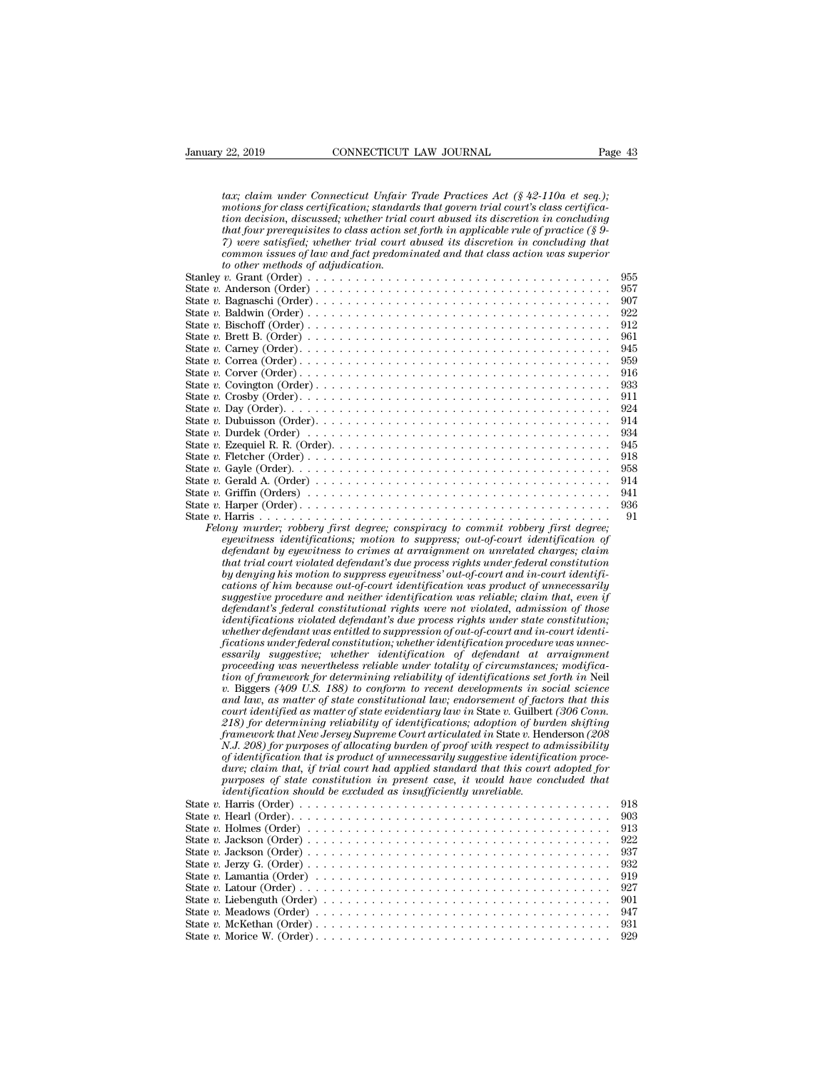| January 22, 2019                                                                                                          | CONNECTICUT LAW JOURNAL                                                                                                                                                                                                                                                                                                                                                                                                                                                                                                         |                                                                                | Page 43 |            |
|---------------------------------------------------------------------------------------------------------------------------|---------------------------------------------------------------------------------------------------------------------------------------------------------------------------------------------------------------------------------------------------------------------------------------------------------------------------------------------------------------------------------------------------------------------------------------------------------------------------------------------------------------------------------|--------------------------------------------------------------------------------|---------|------------|
|                                                                                                                           | tax; claim under Connecticut Unfair Trade Practices Act $(\S 42-110a$ et seq.);<br>motions for class certification; standards that govern trial court's class certifica-<br>tion decision, discussed; whether trial court abused its discretion in concluding<br>that four prerequisites to class action set forth in applicable rule of practice $(\S 9$ -<br>7) were satisfied; whether trial court abused its discretion in concluding that<br>common issues of law and fact predominated and that class action was superior |                                                                                |         |            |
| to other methods of adjudication.                                                                                         |                                                                                                                                                                                                                                                                                                                                                                                                                                                                                                                                 |                                                                                |         |            |
|                                                                                                                           |                                                                                                                                                                                                                                                                                                                                                                                                                                                                                                                                 |                                                                                |         | 955        |
|                                                                                                                           |                                                                                                                                                                                                                                                                                                                                                                                                                                                                                                                                 |                                                                                |         | 957        |
|                                                                                                                           |                                                                                                                                                                                                                                                                                                                                                                                                                                                                                                                                 |                                                                                |         | 907        |
|                                                                                                                           |                                                                                                                                                                                                                                                                                                                                                                                                                                                                                                                                 |                                                                                |         | 922<br>912 |
|                                                                                                                           |                                                                                                                                                                                                                                                                                                                                                                                                                                                                                                                                 |                                                                                |         | 961        |
|                                                                                                                           |                                                                                                                                                                                                                                                                                                                                                                                                                                                                                                                                 |                                                                                |         | 945        |
|                                                                                                                           |                                                                                                                                                                                                                                                                                                                                                                                                                                                                                                                                 |                                                                                |         | 959        |
|                                                                                                                           |                                                                                                                                                                                                                                                                                                                                                                                                                                                                                                                                 |                                                                                |         | 916        |
|                                                                                                                           |                                                                                                                                                                                                                                                                                                                                                                                                                                                                                                                                 |                                                                                |         | 933        |
|                                                                                                                           |                                                                                                                                                                                                                                                                                                                                                                                                                                                                                                                                 |                                                                                |         | 911<br>924 |
|                                                                                                                           |                                                                                                                                                                                                                                                                                                                                                                                                                                                                                                                                 |                                                                                |         | 914        |
|                                                                                                                           |                                                                                                                                                                                                                                                                                                                                                                                                                                                                                                                                 |                                                                                |         | 934        |
|                                                                                                                           |                                                                                                                                                                                                                                                                                                                                                                                                                                                                                                                                 |                                                                                |         | 945        |
| State $v$ . Fletcher $(Order) \ldots \ldots \ldots \ldots \ldots \ldots \ldots \ldots \ldots \ldots \ldots \ldots \ldots$ |                                                                                                                                                                                                                                                                                                                                                                                                                                                                                                                                 |                                                                                |         | 918        |
|                                                                                                                           |                                                                                                                                                                                                                                                                                                                                                                                                                                                                                                                                 |                                                                                |         | 958        |
|                                                                                                                           |                                                                                                                                                                                                                                                                                                                                                                                                                                                                                                                                 |                                                                                |         | 914<br>941 |
|                                                                                                                           |                                                                                                                                                                                                                                                                                                                                                                                                                                                                                                                                 |                                                                                |         | 936        |
|                                                                                                                           |                                                                                                                                                                                                                                                                                                                                                                                                                                                                                                                                 |                                                                                |         | 91         |
|                                                                                                                           | Felony murder; robbery first degree; conspiracy to commit robbery first degree;                                                                                                                                                                                                                                                                                                                                                                                                                                                 |                                                                                |         |            |
|                                                                                                                           |                                                                                                                                                                                                                                                                                                                                                                                                                                                                                                                                 |                                                                                |         |            |
|                                                                                                                           |                                                                                                                                                                                                                                                                                                                                                                                                                                                                                                                                 | eyewitness identifications; motion to suppress; out-of-court identification of |         |            |
|                                                                                                                           | defendant by eyewitness to crimes at arraignment on unrelated charges; claim                                                                                                                                                                                                                                                                                                                                                                                                                                                    |                                                                                |         |            |
|                                                                                                                           | that trial court violated defendant's due process rights under federal constitution                                                                                                                                                                                                                                                                                                                                                                                                                                             |                                                                                |         |            |
|                                                                                                                           | by denying his motion to suppress eyewitness' out-of-court and in-court identifi-<br>cations of him because out-of-court identification was product of unnecessarily                                                                                                                                                                                                                                                                                                                                                            |                                                                                |         |            |
|                                                                                                                           | suggestive procedure and neither identification was reliable; claim that, even if                                                                                                                                                                                                                                                                                                                                                                                                                                               |                                                                                |         |            |
|                                                                                                                           | defendant's federal constitutional rights were not violated, admission of those                                                                                                                                                                                                                                                                                                                                                                                                                                                 |                                                                                |         |            |
|                                                                                                                           | <i>identifications violated defendant's due process rights under state constitution;</i>                                                                                                                                                                                                                                                                                                                                                                                                                                        |                                                                                |         |            |
|                                                                                                                           | whether defendant was entitled to suppression of out-of-court and in-court identi-<br>fications under federal constitution; whether identification procedure was unnec-                                                                                                                                                                                                                                                                                                                                                         |                                                                                |         |            |
|                                                                                                                           | essarily suggestive; whether identification of defendant at arraignment                                                                                                                                                                                                                                                                                                                                                                                                                                                         |                                                                                |         |            |
|                                                                                                                           | proceeding was nevertheless reliable under totality of circumstances; modifica-                                                                                                                                                                                                                                                                                                                                                                                                                                                 |                                                                                |         |            |
|                                                                                                                           | tion of framework for determining reliability of identifications set forth in Neil                                                                                                                                                                                                                                                                                                                                                                                                                                              |                                                                                |         |            |
|                                                                                                                           | v. Biggers (409 U.S. 188) to conform to recent developments in social science<br>and law, as matter of state constitutional law; endorsement of factors that this                                                                                                                                                                                                                                                                                                                                                               |                                                                                |         |            |
|                                                                                                                           | court identified as matter of state evidentiary law in State v. Guilbert (306 Conn.                                                                                                                                                                                                                                                                                                                                                                                                                                             |                                                                                |         |            |
|                                                                                                                           | 218) for determining reliability of identifications; adoption of burden shifting                                                                                                                                                                                                                                                                                                                                                                                                                                                |                                                                                |         |            |
|                                                                                                                           | framework that New Jersey Supreme Court articulated in State v. Henderson (208)                                                                                                                                                                                                                                                                                                                                                                                                                                                 |                                                                                |         |            |
|                                                                                                                           | N.J. 208) for purposes of allocating burden of proof with respect to admissibility<br>of identification that is product of unnecessarily suggestive identification proce-                                                                                                                                                                                                                                                                                                                                                       |                                                                                |         |            |
|                                                                                                                           | dure; claim that, if trial court had applied standard that this court adopted for                                                                                                                                                                                                                                                                                                                                                                                                                                               |                                                                                |         |            |
|                                                                                                                           | purposes of state constitution in present case, it would have concluded that                                                                                                                                                                                                                                                                                                                                                                                                                                                    |                                                                                |         |            |
|                                                                                                                           | identification should be excluded as insufficiently unreliable.                                                                                                                                                                                                                                                                                                                                                                                                                                                                 |                                                                                |         |            |
|                                                                                                                           |                                                                                                                                                                                                                                                                                                                                                                                                                                                                                                                                 |                                                                                |         | 918<br>903 |
| State v. Holmes (Order) $\dots \dots \dots \dots \dots \dots \dots \dots \dots \dots \dots \dots \dots \dots \dots \dots$ |                                                                                                                                                                                                                                                                                                                                                                                                                                                                                                                                 |                                                                                |         | 913        |
|                                                                                                                           |                                                                                                                                                                                                                                                                                                                                                                                                                                                                                                                                 |                                                                                |         | 922        |
|                                                                                                                           |                                                                                                                                                                                                                                                                                                                                                                                                                                                                                                                                 |                                                                                |         | 937        |
|                                                                                                                           |                                                                                                                                                                                                                                                                                                                                                                                                                                                                                                                                 |                                                                                |         | 932        |
|                                                                                                                           |                                                                                                                                                                                                                                                                                                                                                                                                                                                                                                                                 |                                                                                |         | 919        |
|                                                                                                                           |                                                                                                                                                                                                                                                                                                                                                                                                                                                                                                                                 |                                                                                |         | 927        |
|                                                                                                                           |                                                                                                                                                                                                                                                                                                                                                                                                                                                                                                                                 |                                                                                |         | 901<br>947 |
|                                                                                                                           |                                                                                                                                                                                                                                                                                                                                                                                                                                                                                                                                 |                                                                                |         | 931        |